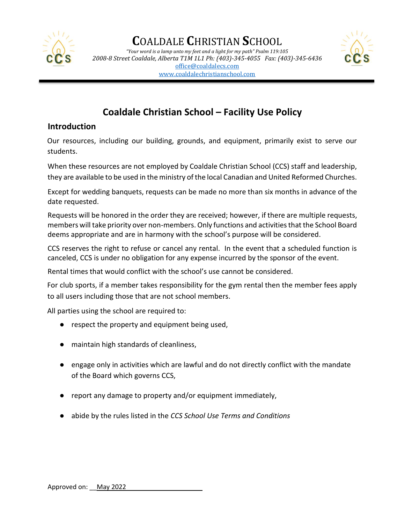

*"Your word is a lamp unto my feet and a light for my path" Psalm 119:105 2008-8 Street Coaldale, Alberta T1M 1L1 Ph: (403)-345-4055 Fax: (403)-345-6436* [office@coaldalecs.com](mailto:office@coaldalecs.com) [www.coaldalechristianschool.com](http://www.coaldalechristianschool.com/)



### **Coaldale Christian School – Facility Use Policy**

### **Introduction**

Our resources, including our building, grounds, and equipment, primarily exist to serve our students.

When these resources are not employed by Coaldale Christian School (CCS) staff and leadership, they are available to be used in the ministry of the local Canadian and United Reformed Churches.

Except for wedding banquets, requests can be made no more than six months in advance of the date requested.

Requests will be honored in the order they are received; however, if there are multiple requests, members will take priority over non-members. Only functions and activities that the School Board deems appropriate and are in harmony with the school's purpose will be considered.

CCS reserves the right to refuse or cancel any rental. In the event that a scheduled function is canceled, CCS is under no obligation for any expense incurred by the sponsor of the event.

Rental times that would conflict with the school's use cannot be considered.

For club sports, if a member takes responsibility for the gym rental then the member fees apply to all users including those that are not school members.

All parties using the school are required to:

- respect the property and equipment being used,
- maintain high standards of cleanliness,
- engage only in activities which are lawful and do not directly conflict with the mandate of the Board which governs CCS,
- report any damage to property and/or equipment immediately,
- abide by the rules listed in the *CCS School Use Terms and Conditions*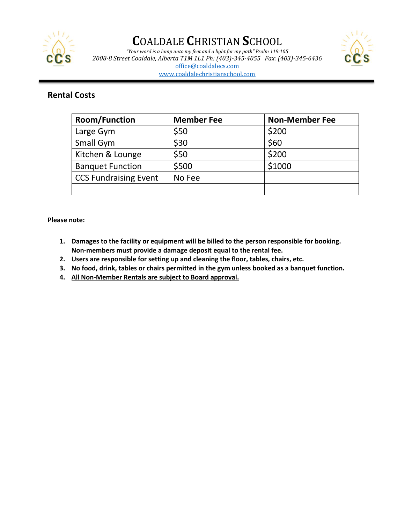

*"Your word is a lamp unto my feet and a light for my path" Psalm 119:105 2008-8 Street Coaldale, Alberta T1M 1L1 Ph: (403)-345-4055 Fax: (403)-345-6436* [office@coaldalecs.com](mailto:office@coaldalecs.com)



[www.coaldalechristianschool.com](http://www.coaldalechristianschool.com/)

### **Rental Costs**

| <b>Room/Function</b>         | <b>Member Fee</b> | <b>Non-Member Fee</b> |
|------------------------------|-------------------|-----------------------|
| Large Gym                    | \$50              | \$200                 |
| Small Gym                    | \$30              | \$60                  |
| Kitchen & Lounge             | \$50              | \$200                 |
| <b>Banquet Function</b>      | \$500             | \$1000                |
| <b>CCS Fundraising Event</b> | No Fee            |                       |
|                              |                   |                       |

**Please note:** 

- **1. Damages to the facility or equipment will be billed to the person responsible for booking. Non-members must provide a damage deposit equal to the rental fee.**
- **2. Users are responsible for setting up and cleaning the floor, tables, chairs, etc.**
- **3. No food, drink, tables or chairs permitted in the gym unless booked as a banquet function.**
- **4. All Non-Member Rentals are subject to Board approval.**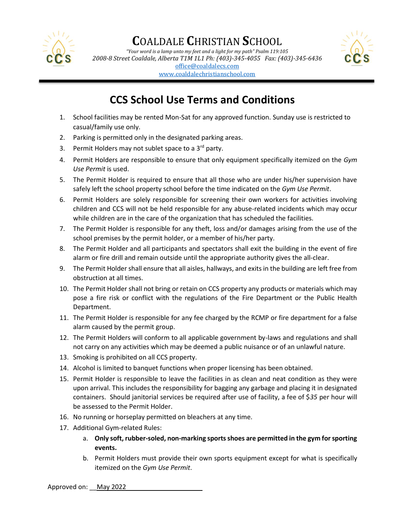

*"Your word is a lamp unto my feet and a light for my path" Psalm 119:105 2008-8 Street Coaldale, Alberta T1M 1L1 Ph: (403)-345-4055 Fax: (403)-345-6436* [office@coaldalecs.com](mailto:office@coaldalecs.com)



[www.coaldalechristianschool.com](http://www.coaldalechristianschool.com/)

# **CCS School Use Terms and Conditions**

- 1. School facilities may be rented Mon-Sat for any approved function. Sunday use is restricted to casual/family use only.
- 2. Parking is permitted only in the designated parking areas.
- 3. Permit Holders may not sublet space to a  $3<sup>rd</sup>$  party.
- 4. Permit Holders are responsible to ensure that only equipment specifically itemized on the *Gym Use Permit* is used.
- 5. The Permit Holder is required to ensure that all those who are under his/her supervision have safely left the school property school before the time indicated on the *Gym Use Permit*.
- 6. Permit Holders are solely responsible for screening their own workers for activities involving children and CCS will not be held responsible for any abuse-related incidents which may occur while children are in the care of the organization that has scheduled the facilities.
- 7. The Permit Holder is responsible for any theft, loss and/or damages arising from the use of the school premises by the permit holder, or a member of his/her party.
- 8. The Permit Holder and all participants and spectators shall exit the building in the event of fire alarm or fire drill and remain outside until the appropriate authority gives the all-clear.
- 9. The Permit Holder shall ensure that all aisles, hallways, and exits in the building are left free from obstruction at all times.
- 10. The Permit Holder shall not bring or retain on CCS property any products or materials which may pose a fire risk or conflict with the regulations of the Fire Department or the Public Health Department.
- 11. The Permit Holder is responsible for any fee charged by the RCMP or fire department for a false alarm caused by the permit group.
- 12. The Permit Holders will conform to all applicable government by-laws and regulations and shall not carry on any activities which may be deemed a public nuisance or of an unlawful nature.
- 13. Smoking is prohibited on all CCS property.
- 14. Alcohol is limited to banquet functions when proper licensing has been obtained.
- 15. Permit Holder is responsible to leave the facilities in as clean and neat condition as they were upon arrival. This includes the responsibility for bagging any garbage and placing it in designated containers. Should janitorial services be required after use of facility, a fee of \$*35* per hour will be assessed to the Permit Holder.
- 16. No running or horseplay permitted on bleachers at any time.
- 17. Additional Gym-related Rules:
	- a. **Only soft, rubber-soled, non-marking sports shoes are permitted in the gym for sporting events.**
	- b. Permit Holders must provide their own sports equipment except for what is specifically itemized on the *Gym Use Permit*.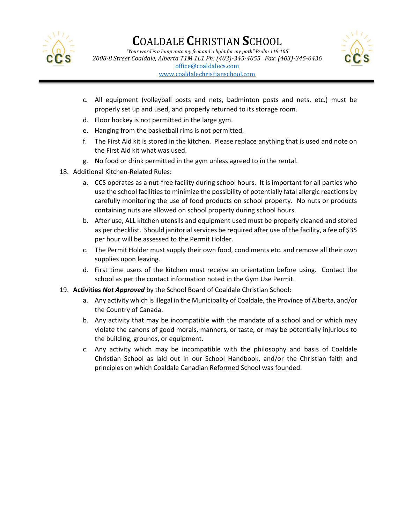

*"Your word is a lamp unto my feet and a light for my path" Psalm 119:105 2008-8 Street Coaldale, Alberta T1M 1L1 Ph: (403)-345-4055 Fax: (403)-345-6436*

[office@coaldalecs.com](mailto:office@coaldalecs.com)

[www.coaldalechristianschool.com](http://www.coaldalechristianschool.com/)

- 
- c. All equipment (volleyball posts and nets, badminton posts and nets, etc.) must be properly set up and used, and properly returned to its storage room.
- d. Floor hockey is not permitted in the large gym.
- e. Hanging from the basketball rims is not permitted.
- f. The First Aid kit is stored in the kitchen. Please replace anything that is used and note on the First Aid kit what was used.
- g. No food or drink permitted in the gym unless agreed to in the rental.
- 18. Additional Kitchen-Related Rules:
	- a. CCS operates as a nut-free facility during school hours. It is important for all parties who use the school facilities to minimize the possibility of potentially fatal allergic reactions by carefully monitoring the use of food products on school property. No nuts or products containing nuts are allowed on school property during school hours.
	- b. After use, ALL kitchen utensils and equipment used must be properly cleaned and stored as per checklist. Should janitorial services be required after use of the facility, a fee of \$3*5*  per hour will be assessed to the Permit Holder.
	- c. The Permit Holder must supply their own food, condiments etc. and remove all their own supplies upon leaving.
	- d. First time users of the kitchen must receive an orientation before using. Contact the school as per the contact information noted in the Gym Use Permit.
- 19. **Activities** *Not Approved* by the School Board of Coaldale Christian School:
	- a. Any activity which is illegal in the Municipality of Coaldale, the Province of Alberta, and/or the Country of Canada.
	- b. Any activity that may be incompatible with the mandate of a school and or which may violate the canons of good morals, manners, or taste, or may be potentially injurious to the building, grounds, or equipment.
	- c. Any activity which may be incompatible with the philosophy and basis of Coaldale Christian School as laid out in our School Handbook, and/or the Christian faith and principles on which Coaldale Canadian Reformed School was founded.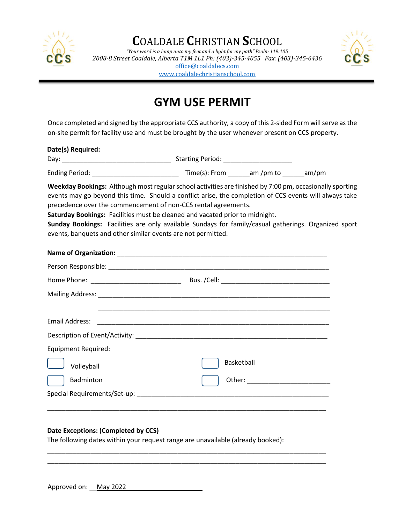

*"Your word is a lamp unto my feet and a light for my path" Psalm 119:105 2008-8 Street Coaldale, Alberta T1M 1L1 Ph: (403)-345-4055 Fax: (403)-345-6436*

[office@coaldalecs.com](mailto:office@coaldalecs.com)

[www.coaldalechristianschool.com](http://www.coaldalechristianschool.com/)



# **GYM USE PERMIT**

Once completed and signed by the appropriate CCS authority, a copy of this 2-sided Form will serve as the on-site permit for facility use and must be brought by the user whenever present on CCS property.

#### **Date(s) Required:**

| Dav:                  | <b>Starting Period:</b> |          |       |
|-----------------------|-------------------------|----------|-------|
| <b>Ending Period:</b> | Time(s): From           | am/pm to | am/pm |

**Weekday Bookings:** Although most regular school activities are finished by 7:00 pm, occasionally sporting events may go beyond this time. Should a conflict arise, the completion of CCS events will always take precedence over the commencement of non-CCS rental agreements.

**Saturday Bookings:** Facilities must be cleaned and vacated prior to midnight.

**Sunday Bookings:** Facilities are only available Sundays for family/casual gatherings. Organized sport events, banquets and other similar events are not permitted.

| <b>Equipment Required:</b> |            |
|----------------------------|------------|
| Volleyball                 | Basketball |
| Badminton                  |            |
|                            |            |
|                            |            |

#### **Date Exceptions: (Completed by CCS)**

The following dates within your request range are unavailable (already booked):

\_\_\_\_\_\_\_\_\_\_\_\_\_\_\_\_\_\_\_\_\_\_\_\_\_\_\_\_\_\_\_\_\_\_\_\_\_\_\_\_\_\_\_\_\_\_\_\_\_\_\_\_\_\_\_\_\_\_\_\_\_\_\_\_\_\_\_\_\_\_\_\_\_\_\_\_\_ \_\_\_\_\_\_\_\_\_\_\_\_\_\_\_\_\_\_\_\_\_\_\_\_\_\_\_\_\_\_\_\_\_\_\_\_\_\_\_\_\_\_\_\_\_\_\_\_\_\_\_\_\_\_\_\_\_\_\_\_\_\_\_\_\_\_\_\_\_\_\_\_\_\_\_\_\_